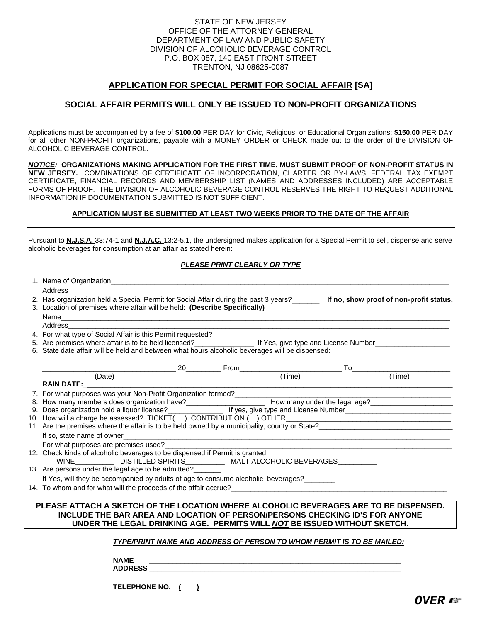### STATE OF NEW JERSEY OFFICE OF THE ATTORNEY GENERAL DEPARTMENT OF LAW AND PUBLIC SAFETY DIVISION OF ALCOHOLIC BEVERAGE CONTROL P.O. BOX 087, 140 EAST FRONT STREET TRENTON, NJ 08625-0087

### **APPLICATION FOR SPECIAL PERMIT FOR SOCIAL AFFAIR [SA]**

## **SOCIAL AFFAIR PERMITS WILL ONLY BE ISSUED TO NON-PROFIT ORGANIZATIONS**

Applications must be accompanied by a fee of **\$100.00** PER DAY for Civic, Religious, or Educational Organizations; **\$150.00** PER DAY for all other NON-PROFIT organizations, payable with a MONEY ORDER or CHECK made out to the order of the DIVISION OF ALCOHOLIC BEVERAGE CONTROL.

*NOTICE:* **ORGANIZATIONS MAKING APPLICATION FOR THE FIRST TIME, MUST SUBMIT PROOF OF NON-PROFIT STATUS IN NEW JERSEY.** COMBINATIONS OF CERTIFICATE OF INCORPORATION, CHARTER OR BY-LAWS, FEDERAL TAX EXEMPT CERTIFICATE, FINANCIAL RECORDS AND MEMBERSHIP LIST (NAMES AND ADDRESSES INCLUDED) ARE ACCEPTABLE FORMS OF PROOF. THE DIVISION OF ALCOHOLIC BEVERAGE CONTROL RESERVES THE RIGHT TO REQUEST ADDITIONAL INFORMATION IF DOCUMENTATION SUBMITTED IS NOT SUFFICIENT.

#### **APPLICATION MUST BE SUBMITTED AT LEAST TWO WEEKS PRIOR TO THE DATE OF THE AFFAIR**

Pursuant to **N.J.S.A.** 33:74-1 and **N.J.A.C.** 13:2-5.1, the undersigned makes application for a Special Permit to sell, dispense and serve alcoholic beverages for consumption at an affair as stated herein:

#### *PLEASE PRINT CLEARLY OR TYPE*

| Address                                                                                                                                                                                                                            |  |  |
|------------------------------------------------------------------------------------------------------------------------------------------------------------------------------------------------------------------------------------|--|--|
| 2. Has organization held a Special Permit for Social Affair during the past 3 years?______ If no, show proof of non-profit status.                                                                                                 |  |  |
| 3. Location of premises where affair will be held: (Describe Specifically)                                                                                                                                                         |  |  |
|                                                                                                                                                                                                                                    |  |  |
| Address<br>,我们也不能在这里的时候,我们也不能在这里的时候,我们也不能会在这里的时候,我们也不能会在这里的时候,我们也不能会在这里的时候,我们也不能会在这里的时候,我们也                                                                                                                                        |  |  |
| 4. For what type of Social Affair is this Permit requested?<br>1. For what type of Social Affair is this Permit requested?<br>2. The manufacture of the context of the context of the context of the context of the context of the |  |  |
| 5. Are premises where affair is to be held licensed?<br>If Yes, give type and License Number                                                                                                                                       |  |  |
| 6. State date affair will be held and between what hours alcoholic beverages will be dispensed:                                                                                                                                    |  |  |
|                                                                                                                                                                                                                                    |  |  |
| (Time)<br>(Date)                                                                                                                                                                                                                   |  |  |
| <b>RAIN DATE:</b>                                                                                                                                                                                                                  |  |  |
|                                                                                                                                                                                                                                    |  |  |
| 8. How many members does organization have?<br>9. Does organization hold a liquor license?<br>16 yes, give type and License Number                                                                                                 |  |  |
|                                                                                                                                                                                                                                    |  |  |
|                                                                                                                                                                                                                                    |  |  |
| 11. Are the premises where the affair is to be held owned by a municipality, county or State?<br>11. Are the premises where the affair is to be held owned by a municipality, county or State?                                     |  |  |
|                                                                                                                                                                                                                                    |  |  |
| For what purposes are premises used?                                                                                                                                                                                               |  |  |
| 12. Check kinds of alcoholic beverages to be dispensed if Permit is granted:<br>WINE ________________ DISTILLED SPIRITS_______________ MALT ALCOHOLIC BEVERAGES___________                                                         |  |  |
| 13. Are persons under the legal age to be admitted?                                                                                                                                                                                |  |  |
| If Yes, will they be accompanied by adults of age to consume alcoholic beverages?                                                                                                                                                  |  |  |
| 14. To whom and for what will the proceeds of the affair accrue?                                                                                                                                                                   |  |  |
| PLEASE ATTACH A SKETCH OF THE LOCATION WHERE ALCOHOLIC BEVERAGES ARE TO BE DISPENSED.                                                                                                                                              |  |  |
| INCLUDE THE BAR AREA AND LOCATION OF PERSON/PERSONS CHECKING ID'S FOR ANYONE                                                                                                                                                       |  |  |
| UNDER THE LEGAL DRINKING AGE. PERMITS WILL NOT BE ISSUED WITHOUT SKETCH.                                                                                                                                                           |  |  |
|                                                                                                                                                                                                                                    |  |  |
| TYPE/PRINT NAME AND ADDRESS OF PERSON TO WHOM PERMIT IS TO BE MAILED:                                                                                                                                                              |  |  |
|                                                                                                                                                                                                                                    |  |  |
| <b>NAME</b>                                                                                                                                                                                                                        |  |  |
| <b>ADDRESS</b>                                                                                                                                                                                                                     |  |  |

 **\_\_\_\_\_\_\_\_\_\_\_\_\_\_\_\_\_\_\_\_\_\_\_\_\_\_\_\_\_\_\_\_\_\_\_\_\_\_\_\_\_\_\_\_\_\_\_\_\_\_\_\_\_\_\_\_\_\_\_\_\_\_\_\_**

TELEPHONE NO. <u>( )</u>